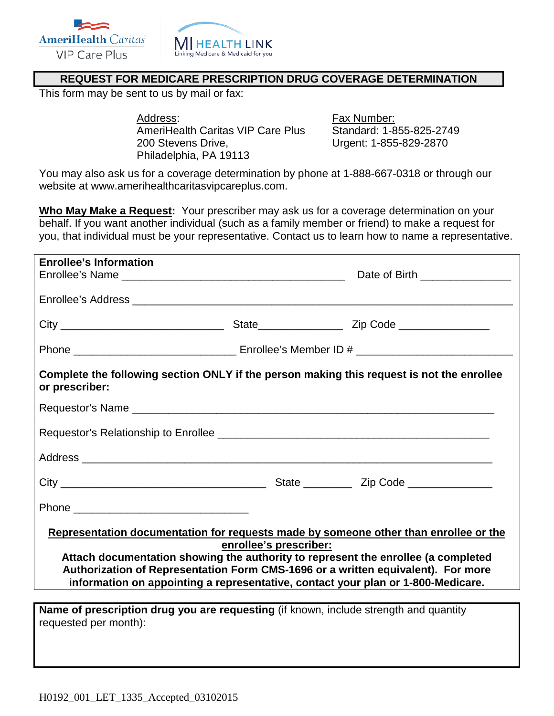



## **REQUEST FOR MEDICARE PRESCRIPTION DRUG COVERAGE DETERMINATION**

This form may be sent to us by mail or fax:

Address: Fax Number: AmeriHealth Caritas VIP Care Plus Standard: 1-855-825-2749 200 Stevens Drive, Urgent: 1-855-829-2870 Philadelphia, PA 19113

You may also ask us for a coverage determination by phone at 1-888-667-0318 or through our website at www.amerihealthcaritasvipcareplus.com.

**Who May Make a Request:** Your prescriber may ask us for a coverage determination on your behalf. If you want another individual (such as a family member or friend) to make a request for you, that individual must be your representative. Contact us to learn how to name a representative.

| <b>Enrollee's Information</b>                                                                                                                                                                                                                                                                                                                                               |  | Date of Birth _________________                                                           |  |  |  |
|-----------------------------------------------------------------------------------------------------------------------------------------------------------------------------------------------------------------------------------------------------------------------------------------------------------------------------------------------------------------------------|--|-------------------------------------------------------------------------------------------|--|--|--|
|                                                                                                                                                                                                                                                                                                                                                                             |  |                                                                                           |  |  |  |
|                                                                                                                                                                                                                                                                                                                                                                             |  |                                                                                           |  |  |  |
|                                                                                                                                                                                                                                                                                                                                                                             |  |                                                                                           |  |  |  |
| or prescriber:                                                                                                                                                                                                                                                                                                                                                              |  | Complete the following section ONLY if the person making this request is not the enrollee |  |  |  |
|                                                                                                                                                                                                                                                                                                                                                                             |  |                                                                                           |  |  |  |
|                                                                                                                                                                                                                                                                                                                                                                             |  |                                                                                           |  |  |  |
|                                                                                                                                                                                                                                                                                                                                                                             |  |                                                                                           |  |  |  |
|                                                                                                                                                                                                                                                                                                                                                                             |  |                                                                                           |  |  |  |
|                                                                                                                                                                                                                                                                                                                                                                             |  |                                                                                           |  |  |  |
| Representation documentation for requests made by someone other than enrollee or the<br>enrollee's prescriber:<br>Attach documentation showing the authority to represent the enrollee (a completed<br>Authorization of Representation Form CMS-1696 or a written equivalent). For more<br>information on appointing a representative, contact your plan or 1-800-Medicare. |  |                                                                                           |  |  |  |
| requested per month):                                                                                                                                                                                                                                                                                                                                                       |  | Name of prescription drug you are requesting (if known, include strength and quantity     |  |  |  |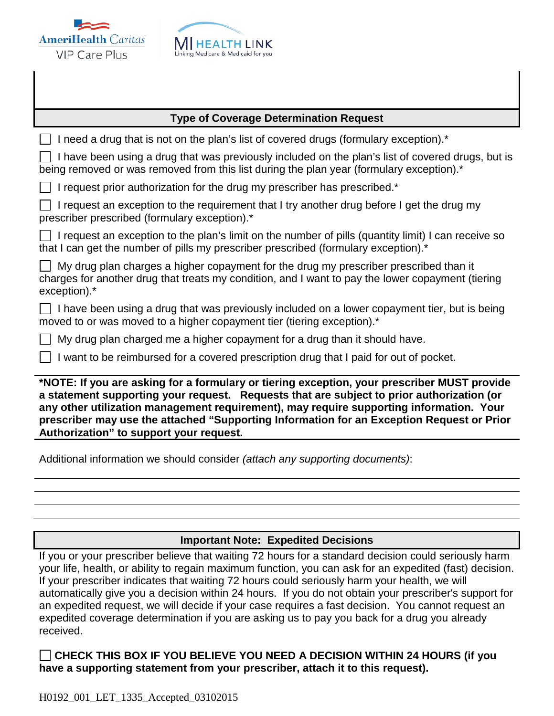



## **Type of Coverage Determination Request**

| I need a drug that is not on the plan's list of covered drugs (formulary exception).*<br>$\Box$                                                                                                                                                                                                                                                                                                                             |  |  |  |  |
|-----------------------------------------------------------------------------------------------------------------------------------------------------------------------------------------------------------------------------------------------------------------------------------------------------------------------------------------------------------------------------------------------------------------------------|--|--|--|--|
| I have been using a drug that was previously included on the plan's list of covered drugs, but is<br>being removed or was removed from this list during the plan year (formulary exception).*                                                                                                                                                                                                                               |  |  |  |  |
| $\Box$ I request prior authorization for the drug my prescriber has prescribed.*                                                                                                                                                                                                                                                                                                                                            |  |  |  |  |
| I request an exception to the requirement that I try another drug before I get the drug my<br>$\Box$<br>prescriber prescribed (formulary exception).*                                                                                                                                                                                                                                                                       |  |  |  |  |
| $\Box$ I request an exception to the plan's limit on the number of pills (quantity limit) I can receive so<br>that I can get the number of pills my prescriber prescribed (formulary exception).*                                                                                                                                                                                                                           |  |  |  |  |
| My drug plan charges a higher copayment for the drug my prescriber prescribed than it<br>$\perp$<br>charges for another drug that treats my condition, and I want to pay the lower copayment (tiering<br>exception).*                                                                                                                                                                                                       |  |  |  |  |
| $\Box$ I have been using a drug that was previously included on a lower copayment tier, but is being<br>moved to or was moved to a higher copayment tier (tiering exception).*                                                                                                                                                                                                                                              |  |  |  |  |
| My drug plan charged me a higher copayment for a drug than it should have.<br>$\mathbf{L}$                                                                                                                                                                                                                                                                                                                                  |  |  |  |  |
| I want to be reimbursed for a covered prescription drug that I paid for out of pocket.<br>$\Box$                                                                                                                                                                                                                                                                                                                            |  |  |  |  |
| *NOTE: If you are asking for a formulary or tiering exception, your prescriber MUST provide<br>a statement supporting your request. Requests that are subject to prior authorization (or<br>any other utilization management requirement), may require supporting information. Your<br>prescriber may use the attached "Supporting Information for an Exception Request or Prior<br>Authorization" to support your request. |  |  |  |  |
| Additional information we should consider (attach any supporting documents):                                                                                                                                                                                                                                                                                                                                                |  |  |  |  |

## **Important Note: Expedited Decisions**

If you or your prescriber believe that waiting 72 hours for a standard decision could seriously harm your life, health, or ability to regain maximum function, you can ask for an expedited (fast) decision. If your prescriber indicates that waiting 72 hours could seriously harm your health, we will automatically give you a decision within 24 hours. If you do not obtain your prescriber's support for an expedited request, we will decide if your case requires a fast decision. You cannot request an expedited coverage determination if you are asking us to pay you back for a drug you already received.

**CHECK THIS BOX IF YOU BELIEVE YOU NEED A DECISION WITHIN 24 HOURS (if you have a supporting statement from your prescriber, attach it to this request).**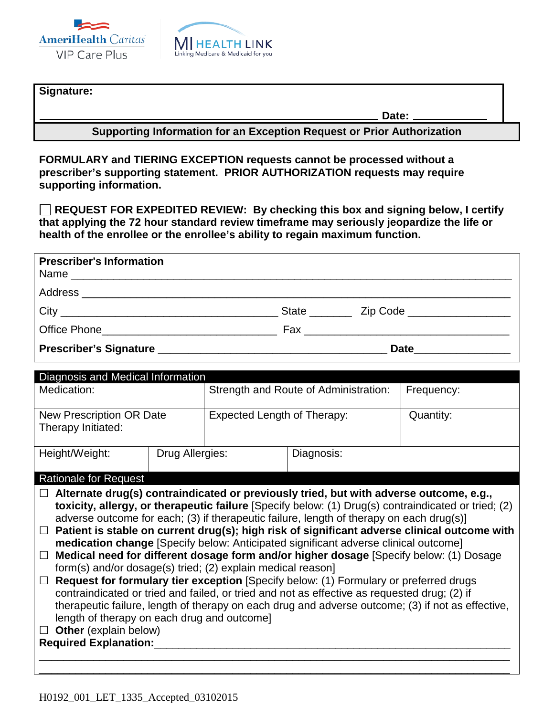



## **Signature:**

**Date:** 

**Supporting Information for an Exception Request or Prior Authorization**

**FORMULARY and TIERING EXCEPTION requests cannot be processed without a prescriber's supporting statement. PRIOR AUTHORIZATION requests may require supporting information.** 

**REQUEST FOR EXPEDITED REVIEW: By checking this box and signing below, I certify that applying the 72 hour standard review timeframe may seriously jeopardize the life or health of the enrollee or the enrollee's ability to regain maximum function.**

| <b>Prescriber's Information</b> |                         |
|---------------------------------|-------------------------|
|                                 |                         |
|                                 |                         |
|                                 |                         |
|                                 | Date __________________ |

| Diagnosis and Medical Information                                                                                                                                                                                                                                                                                                                                                                                                                                                                                                                                                                                                                                                                                                                                                                                                                                                                                                                                                                                                                                                           |                 |                                       |  |            |  |  |  |
|---------------------------------------------------------------------------------------------------------------------------------------------------------------------------------------------------------------------------------------------------------------------------------------------------------------------------------------------------------------------------------------------------------------------------------------------------------------------------------------------------------------------------------------------------------------------------------------------------------------------------------------------------------------------------------------------------------------------------------------------------------------------------------------------------------------------------------------------------------------------------------------------------------------------------------------------------------------------------------------------------------------------------------------------------------------------------------------------|-----------------|---------------------------------------|--|------------|--|--|--|
| Medication:                                                                                                                                                                                                                                                                                                                                                                                                                                                                                                                                                                                                                                                                                                                                                                                                                                                                                                                                                                                                                                                                                 |                 | Strength and Route of Administration: |  | Frequency: |  |  |  |
| <b>New Prescription OR Date</b><br>Therapy Initiated:                                                                                                                                                                                                                                                                                                                                                                                                                                                                                                                                                                                                                                                                                                                                                                                                                                                                                                                                                                                                                                       |                 | <b>Expected Length of Therapy:</b>    |  | Quantity:  |  |  |  |
| Height/Weight:                                                                                                                                                                                                                                                                                                                                                                                                                                                                                                                                                                                                                                                                                                                                                                                                                                                                                                                                                                                                                                                                              | Drug Allergies: | Diagnosis:                            |  |            |  |  |  |
| <b>Rationale for Request</b>                                                                                                                                                                                                                                                                                                                                                                                                                                                                                                                                                                                                                                                                                                                                                                                                                                                                                                                                                                                                                                                                |                 |                                       |  |            |  |  |  |
| $\Box$ Alternate drug(s) contraindicated or previously tried, but with adverse outcome, e.g.,<br>toxicity, allergy, or therapeutic failure [Specify below: (1) Drug(s) contraindicated or tried; (2)<br>adverse outcome for each; (3) if therapeutic failure, length of therapy on each drug(s)]<br>Patient is stable on current drug(s); high risk of significant adverse clinical outcome with<br>$\Box$<br>medication change [Specify below: Anticipated significant adverse clinical outcome]<br>Medical need for different dosage form and/or higher dosage [Specify below: (1) Dosage<br>$\Box$<br>form(s) and/or dosage(s) tried; (2) explain medical reason]<br>Request for formulary tier exception [Specify below: (1) Formulary or preferred drugs<br>$\Box$<br>contraindicated or tried and failed, or tried and not as effective as requested drug; (2) if<br>therapeutic failure, length of therapy on each drug and adverse outcome; (3) if not as effective,<br>length of therapy on each drug and outcome]<br>$\Box$ Other (explain below)<br><b>Required Explanation:</b> |                 |                                       |  |            |  |  |  |

\_\_\_\_\_\_\_\_\_\_\_\_\_\_\_\_\_\_\_\_\_\_\_\_\_\_\_\_\_\_\_\_\_\_\_\_\_\_\_\_\_\_\_\_\_\_\_\_\_\_\_\_\_\_\_\_\_\_\_\_\_\_\_\_\_\_\_\_\_\_\_\_\_\_\_\_\_\_